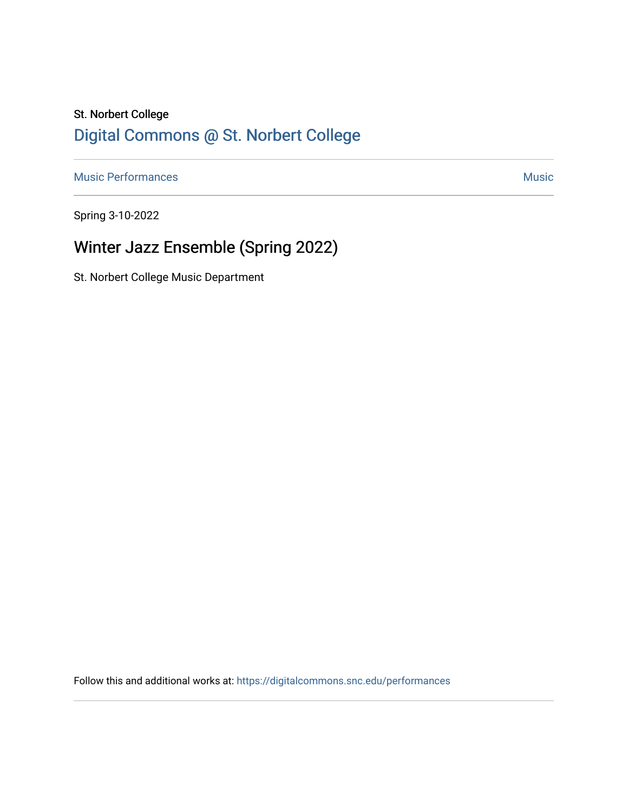### St. Norbert College [Digital Commons @ St. Norbert College](https://digitalcommons.snc.edu/)

[Music Performances](https://digitalcommons.snc.edu/performances) and the contract of the contract of the contract of the contract of the contract of the contract of the contract of the contract of the contract of the contract of the contract of the contract of the con

Spring 3-10-2022

# Winter Jazz Ensemble (Spring 2022)

St. Norbert College Music Department

Follow this and additional works at: [https://digitalcommons.snc.edu/performances](https://digitalcommons.snc.edu/performances?utm_source=digitalcommons.snc.edu%2Fperformances%2F161&utm_medium=PDF&utm_campaign=PDFCoverPages)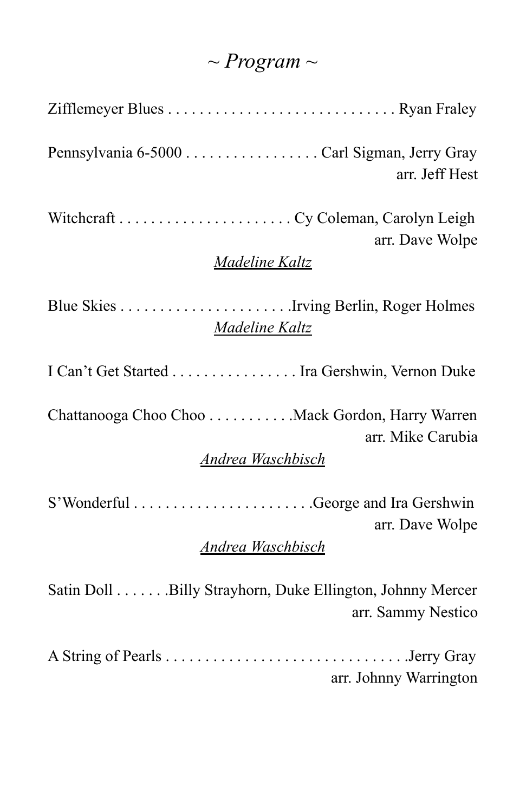# *~ Program ~*

| arr. Jeff Hest                                                                                   |
|--------------------------------------------------------------------------------------------------|
| arr. Dave Wolpe<br>Madeline Kaltz                                                                |
| Madeline Kaltz                                                                                   |
| I Can't Get Started Ira Gershwin, Vernon Duke                                                    |
| Chattanooga Choo Choo Mack Gordon, Harry Warren<br>arr. Mike Carubia<br><b>Andrea Waschbisch</b> |
| arr. Dave Wolpe<br>Andrea Waschbisch                                                             |
| Satin Doll Billy Strayhorn, Duke Ellington, Johnny Mercer<br>arr. Sammy Nestico                  |
| arr. Johnny Warrington                                                                           |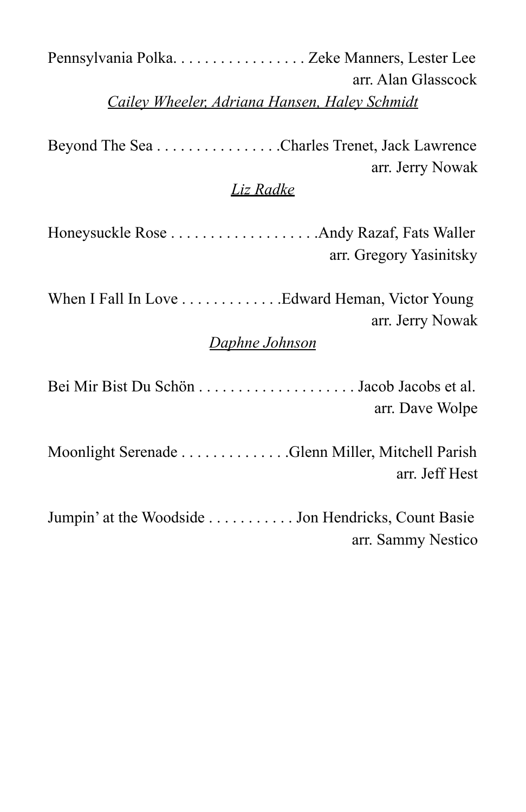| Pennsylvania Polka. Zeke Manners, Lester Lee<br>arr. Alan Glasscock                  |
|--------------------------------------------------------------------------------------|
| Cailey Wheeler, Adriana Hansen, Haley Schmidt                                        |
| Beyond The Sea Charles Trenet, Jack Lawrence<br>arr. Jerry Nowak<br><u>Liz Radke</u> |
| arr. Gregory Yasinitsky                                                              |
| arr. Jerry Nowak<br>Daphne Johnson                                                   |
| arr. Dave Wolpe                                                                      |
| Moonlight Serenade Glenn Miller, Mitchell Parish<br>arr. Jeff Hest                   |
| Jumpin' at the Woodside Jon Hendricks, Count Basie<br>arr. Sammy Nestico             |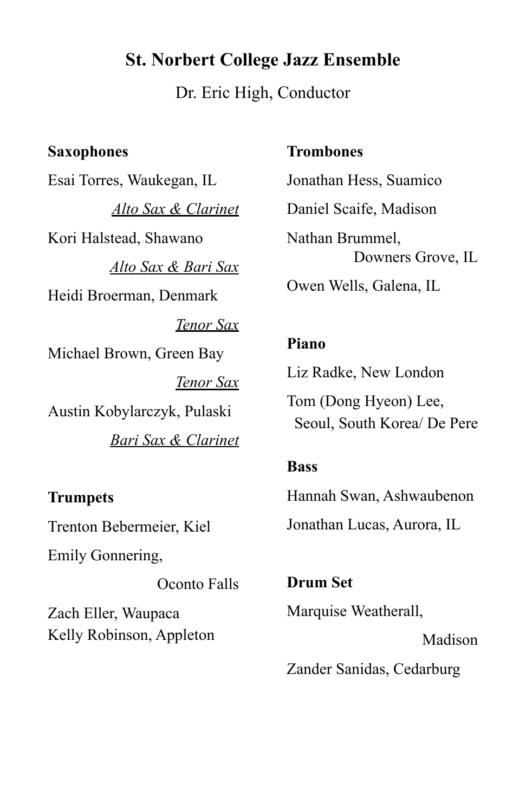### **St. Norbert College Jazz Ensemble**

Dr. Eric High, Conductor

#### **Saxophones**

Esai Torres, Waukegan, IL *Alto Sax & Clarinet* Kori Halstead, Shawano *Alto Sax & Bari Sax* Heidi Broerman, Denmark *Tenor Sax* Michael Brown, Green Bay *Tenor Sax* Austin Kobylarczyk, Pulaski *Bari Sax & Clarinet*

#### **Trumpets**

Trenton Bebermeier, Kiel

Emily Gonnering,

Oconto Falls Zach Eller, Waupaca Kelly Robinson, Appleton

#### **Trombones**

Jonathan Hess, Suamico Daniel Scaife, Madison Nathan Brummel, Downers Grove, IL Owen Wells, Galena, IL

#### **Piano**

Liz Radke, New London

Tom (Dong Hyeon) Lee, Seoul, South Korea/ De Pere

#### **Bass**

Hannah Swan, Ashwaubenon Jonathan Lucas, Aurora, IL

**Drum Set** Marquise Weatherall, Madison

Zander Sanidas, Cedarburg